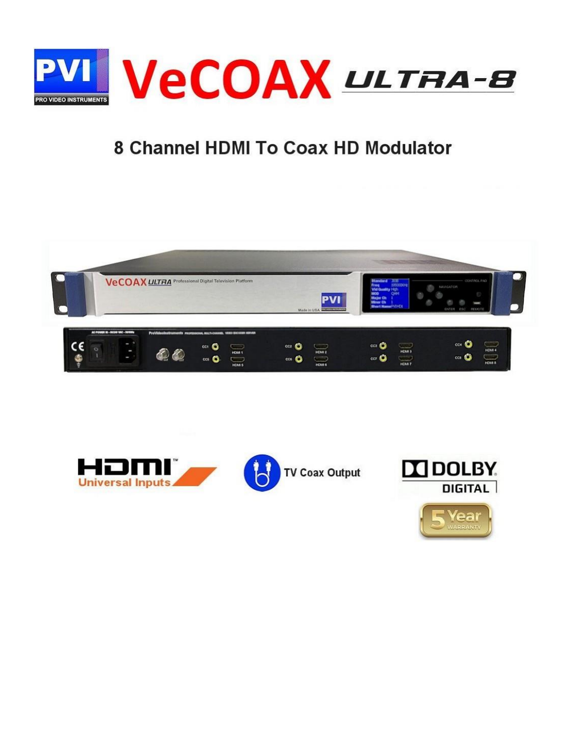

### 8 Channel HDMI To Coax HD Modulator





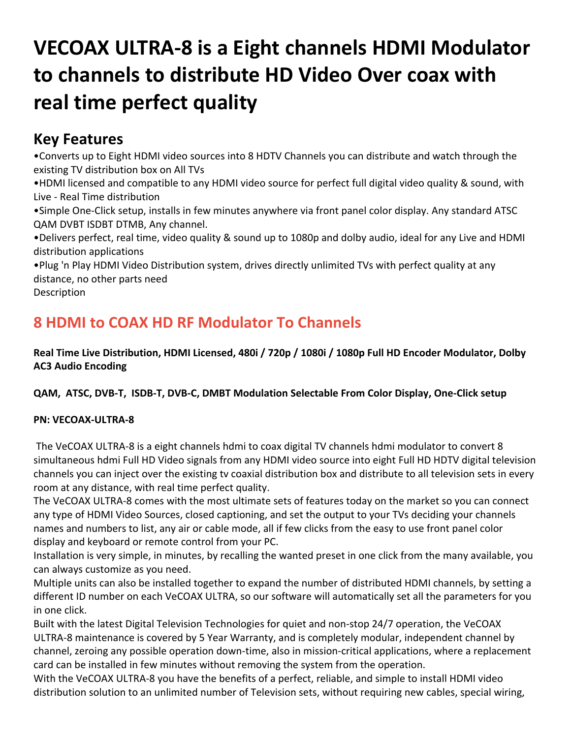# **VECOAX ULTRA-8 is a Eight channels HDMI Modulator to channels to distribute HD Video Over coax with real time perfect quality**

#### **Key Features**

•Converts up to Eight HDMI video sources into 8 HDTV Channels you can distribute and watch through the existing TV distribution box on All TVs

•HDMI licensed and compatible to any HDMI video source for perfect full digital video quality & sound, with Live - Real Time distribution

•Simple One-Click setup, installs in few minutes anywhere via front panel color display. Any standard ATSC QAM DVBT ISDBT DTMB, Any channel.

•Delivers perfect, real time, video quality & sound up to 1080p and dolby audio, ideal for any Live and HDMI distribution applications

•Plug 'n Play HDMI Video Distribution system, drives directly unlimited TVs with perfect quality at any distance, no other parts need **Description** 

#### **8 HDMI to COAX HD RF Modulator To Channels**

**Real Time Live Distribution, HDMI Licensed, 480i / 720p / 1080i / 1080p Full HD Encoder Modulator, Dolby AC3 Audio Encoding**

**QAM, ATSC, DVB-T, ISDB-T, DVB-C, DMBT Modulation Selectable From Color Display, One-Click setup**

#### **PN: VECOAX-ULTRA-8**

The VeCOAX ULTRA-8 is a eight channels hdmi to coax digital TV channels hdmi modulator to convert 8 simultaneous hdmi Full HD Video signals from any HDMI video source into eight Full HD HDTV digital television channels you can inject over the existing tv coaxial distribution box and distribute to all television sets in every room at any distance, with real time perfect quality.

The VeCOAX ULTRA-8 comes with the most ultimate sets of features today on the market so you can connect any type of HDMI Video Sources, closed captioning, and set the output to your TVs deciding your channels names and numbers to list, any air or cable mode, all if few clicks from the easy to use front panel color display and keyboard or remote control from your PC.

Installation is very simple, in minutes, by recalling the wanted preset in one click from the many available, you can always customize as you need.

Multiple units can also be installed together to expand the number of distributed HDMI channels, by setting a different ID number on each VeCOAX ULTRA, so our software will automatically set all the parameters for you in one click.

Built with the latest Digital Television Technologies for quiet and non-stop 24/7 operation, the VeCOAX ULTRA-8 maintenance is covered by 5 Year Warranty, and is completely modular, independent channel by channel, zeroing any possible operation down-time, also in mission-critical applications, where a replacement card can be installed in few minutes without removing the system from the operation.

With the VeCOAX ULTRA-8 you have the benefits of a perfect, reliable, and simple to install HDMI video distribution solution to an unlimited number of Television sets, without requiring new cables, special wiring,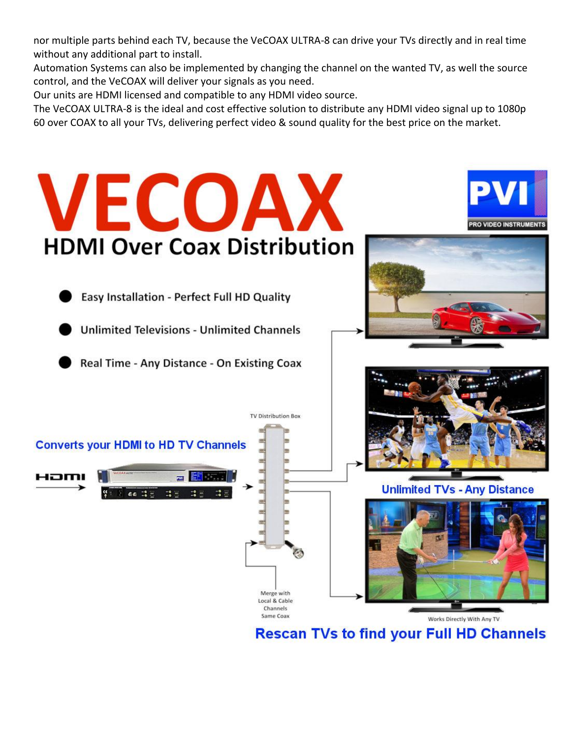nor multiple parts behind each TV, because the VeCOAX ULTRA-8 can drive your TVs directly and in real time without any additional part to install.

Automation Systems can also be implemented by changing the channel on the wanted TV, as well the source control, and the VeCOAX will deliver your signals as you need.

Our units are HDMI licensed and compatible to any HDMI video source.

The VeCOAX ULTRA-8 is the ideal and cost effective solution to distribute any HDMI video signal up to 1080p 60 over COAX to all your TVs, delivering perfect video & sound quality for the best price on the market.



**Rescan TVs to find your Full HD Channels**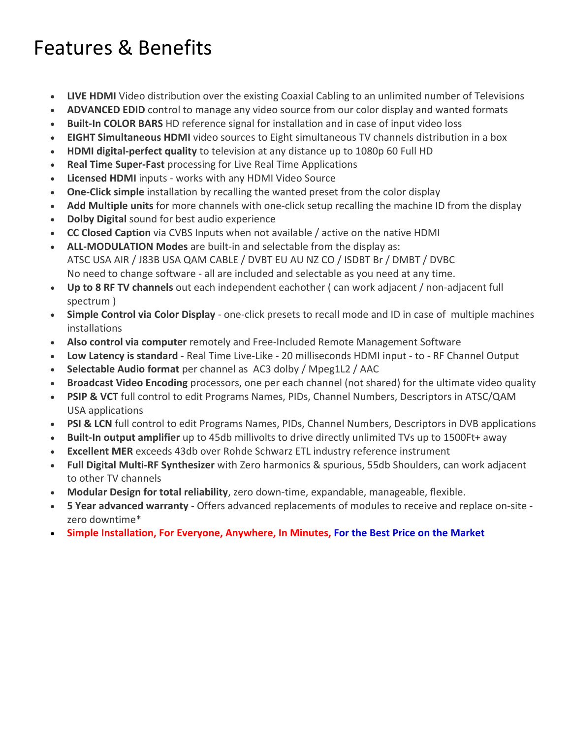## Features & Benefits

- **LIVE HDMI** Video distribution over the existing Coaxial Cabling to an unlimited number of Televisions
- **ADVANCED EDID** control to manage any video source from our color display and wanted formats
- **Built-In COLOR BARS** HD reference signal for installation and in case of input video loss
- **EIGHT Simultaneous HDMI** video sources to Eight simultaneous TV channels distribution in a box
- **HDMI digital-perfect quality** to television at any distance up to 1080p 60 Full HD
- **Real Time Super-Fast** processing for Live Real Time Applications
- **Licensed HDMI** inputs works with any HDMI Video Source
- **One-Click simple** installation by recalling the wanted preset from the color display
- **Add Multiple units** for more channels with one-click setup recalling the machine ID from the display
- **Dolby Digital** sound for best audio experience
- **CC Closed Caption** via CVBS Inputs when not available / active on the native HDMI
- **ALL-MODULATION Modes** are built-in and selectable from the display as: ATSC USA AIR / J83B USA QAM CABLE / DVBT EU AU NZ CO / ISDBT Br / DMBT / DVBC No need to change software - all are included and selectable as you need at any time.
- **Up to 8 RF TV channels** out each independent eachother ( can work adjacent / non-adjacent full spectrum )
- **Simple Control via Color Display** one-click presets to recall mode and ID in case of multiple machines installations
- **Also control via computer** remotely and Free-Included Remote Management Software
- **Low Latency is standard** Real Time Live-Like 20 milliseconds HDMI input to RF Channel Output
- **Selectable Audio format** per channel as AC3 dolby / Mpeg1L2 / AAC
- **Broadcast Video Encoding** processors, one per each channel (not shared) for the ultimate video quality
- **PSIP & VCT** full control to edit Programs Names, PIDs, Channel Numbers, Descriptors in ATSC/QAM USA applications
- **PSI & LCN** full control to edit Programs Names, PIDs, Channel Numbers, Descriptors in DVB applications
- **Built-In output amplifier** up to 45db millivolts to drive directly unlimited TVs up to 1500Ft+ away
- **Excellent MER** exceeds 43db over Rohde Schwarz ETL industry reference instrument
- **Full Digital Multi-RF Synthesizer** with Zero harmonics & spurious, 55db Shoulders, can work adjacent to other TV channels
- **Modular Design for total reliability**, zero down-time, expandable, manageable, flexible.
- **5 Year advanced warranty** Offers advanced replacements of modules to receive and replace on-site zero downtime\*
- **Simple Installation, For Everyone, Anywhere, In Minutes, For the Best Price on the Market**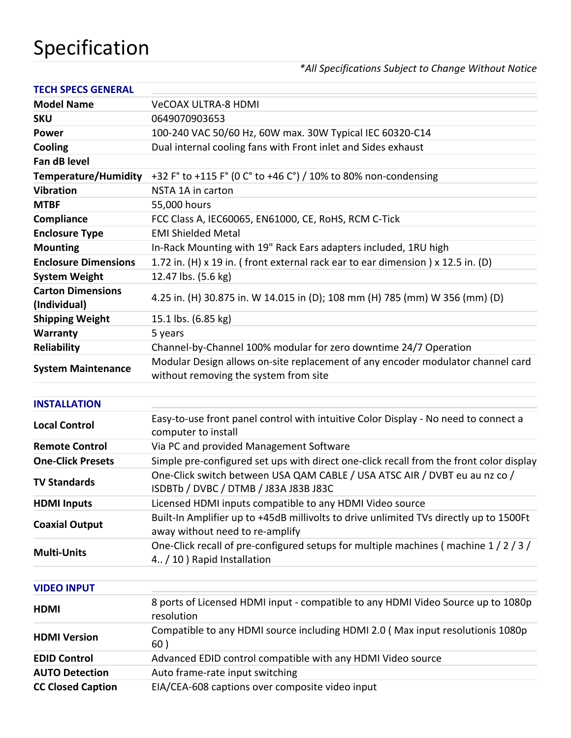## Specification

#### *\*All Specifications Subject to Change Without Notice*

| <b>TECH SPECS GENERAL</b>                |                                                                                                                           |
|------------------------------------------|---------------------------------------------------------------------------------------------------------------------------|
| <b>Model Name</b>                        | <b>VeCOAX ULTRA-8 HDMI</b>                                                                                                |
| <b>SKU</b>                               | 0649070903653                                                                                                             |
| <b>Power</b>                             | 100-240 VAC 50/60 Hz, 60W max. 30W Typical IEC 60320-C14                                                                  |
| Cooling                                  | Dual internal cooling fans with Front inlet and Sides exhaust                                                             |
| Fan dB level                             |                                                                                                                           |
| <b>Temperature/Humidity</b>              | +32 F° to +115 F° (0 C° to +46 C°) / 10% to 80% non-condensing                                                            |
| <b>Vibration</b>                         | NSTA 1A in carton                                                                                                         |
| <b>MTBF</b>                              | 55,000 hours                                                                                                              |
| Compliance                               | FCC Class A, IEC60065, EN61000, CE, RoHS, RCM C-Tick                                                                      |
| <b>Enclosure Type</b>                    | <b>EMI Shielded Metal</b>                                                                                                 |
| <b>Mounting</b>                          | In-Rack Mounting with 19" Rack Ears adapters included, 1RU high                                                           |
| <b>Enclosure Dimensions</b>              | 1.72 in. (H) x 19 in. (front external rack ear to ear dimension) x 12.5 in. (D)                                           |
| <b>System Weight</b>                     | 12.47 lbs. (5.6 kg)                                                                                                       |
| <b>Carton Dimensions</b><br>(Individual) | 4.25 in. (H) 30.875 in. W 14.015 in (D); 108 mm (H) 785 (mm) W 356 (mm) (D)                                               |
| <b>Shipping Weight</b>                   | 15.1 lbs. (6.85 kg)                                                                                                       |
| Warranty                                 | 5 years                                                                                                                   |
| <b>Reliability</b>                       | Channel-by-Channel 100% modular for zero downtime 24/7 Operation                                                          |
| <b>System Maintenance</b>                | Modular Design allows on-site replacement of any encoder modulator channel card<br>without removing the system from site  |
| <b>INSTALLATION</b>                      |                                                                                                                           |
| <b>Local Control</b>                     | Easy-to-use front panel control with intuitive Color Display - No need to connect a<br>computer to install                |
| <b>Remote Control</b>                    | Via PC and provided Management Software                                                                                   |
| <b>One-Click Presets</b>                 | Simple pre-configured set ups with direct one-click recall from the front color display                                   |
| <b>TV Standards</b>                      | One-Click switch between USA QAM CABLE / USA ATSC AIR / DVBT eu au nz co /<br>ISDBTb / DVBC / DTMB / J83A J83B J83C       |
| <b>HDMI Inputs</b>                       | Licensed HDMI inputs compatible to any HDMI Video source                                                                  |
| <b>Coaxial Output</b>                    | Built-In Amplifier up to +45dB millivolts to drive unlimited TVs directly up to 1500Ft<br>away without need to re-amplify |
| <b>Multi-Units</b>                       | One-Click recall of pre-configured setups for multiple machines (machine 1/2/3/<br>4. / 10 ) Rapid Installation           |
| <b>VIDEO INPUT</b>                       |                                                                                                                           |
| <b>HDMI</b>                              | 8 ports of Licensed HDMI input - compatible to any HDMI Video Source up to 1080p<br>resolution                            |
| <b>HDMI Version</b>                      | Compatible to any HDMI source including HDMI 2.0 (Max input resolutionis 1080p<br>60)                                     |
| <b>EDID Control</b>                      | Advanced EDID control compatible with any HDMI Video source                                                               |
| <b>AUTO Detection</b>                    | Auto frame-rate input switching                                                                                           |

**CC Closed Caption** EIA/CEA-608 captions over composite video input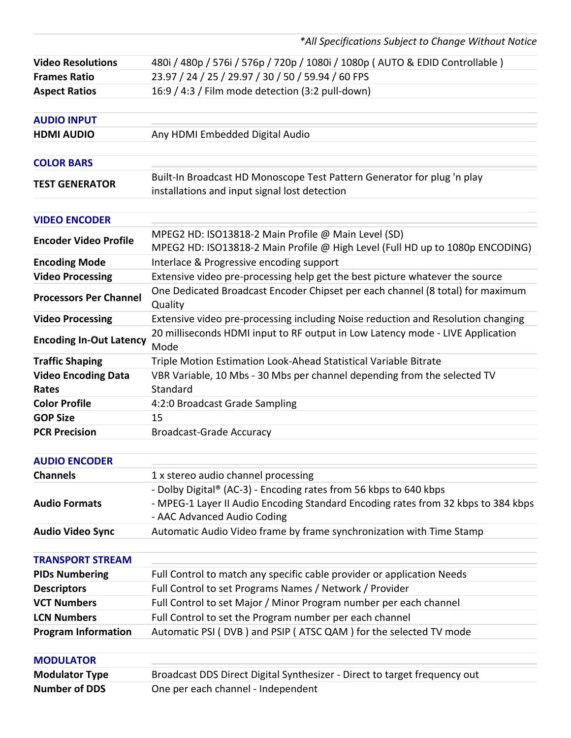*\*All Specifications Subject to Change Without Notice*

| <b>Video Resolutions</b>       | 480i / 480p / 576i / 576p / 720p / 1080i / 1080p (AUTO & EDID Controllable)                                                          |
|--------------------------------|--------------------------------------------------------------------------------------------------------------------------------------|
| <b>Frames Ratio</b>            | 23.97 / 24 / 25 / 29.97 / 30 / 50 / 59.94 / 60 FPS                                                                                   |
| <b>Aspect Ratios</b>           | 16:9 / 4:3 / Film mode detection (3:2 pull-down)                                                                                     |
| <b>AUDIO INPUT</b>             |                                                                                                                                      |
|                                |                                                                                                                                      |
| <b>HDMI AUDIO</b>              | Any HDMI Embedded Digital Audio                                                                                                      |
| <b>COLOR BARS</b>              |                                                                                                                                      |
| <b>TEST GENERATOR</b>          | Built-In Broadcast HD Monoscope Test Pattern Generator for plug 'n play<br>installations and input signal lost detection             |
| <b>VIDEO ENCODER</b>           |                                                                                                                                      |
| <b>Encoder Video Profile</b>   | MPEG2 HD: ISO13818-2 Main Profile @ Main Level (SD)<br>MPEG2 HD: ISO13818-2 Main Profile @ High Level (Full HD up to 1080p ENCODING) |
| <b>Encoding Mode</b>           | Interlace & Progressive encoding support                                                                                             |
| <b>Video Processing</b>        | Extensive video pre-processing help get the best picture whatever the source                                                         |
| <b>Processors Per Channel</b>  | One Dedicated Broadcast Encoder Chipset per each channel (8 total) for maximum<br>Quality                                            |
| <b>Video Processing</b>        | Extensive video pre-processing including Noise reduction and Resolution changing                                                     |
| <b>Encoding In-Out Latency</b> | 20 milliseconds HDMI input to RF output in Low Latency mode - LIVE Application<br>Mode                                               |
| <b>Traffic Shaping</b>         | Triple Motion Estimation Look-Ahead Statistical Variable Bitrate                                                                     |
| <b>Video Encoding Data</b>     | VBR Variable, 10 Mbs - 30 Mbs per channel depending from the selected TV                                                             |
| Rates                          | Standard                                                                                                                             |
| <b>Color Profile</b>           | 4:2:0 Broadcast Grade Sampling                                                                                                       |
| <b>GOP Size</b>                | 15                                                                                                                                   |
| <b>PCR Precision</b>           | <b>Broadcast-Grade Accuracy</b>                                                                                                      |
|                                |                                                                                                                                      |
| <b>AUDIO ENCODER</b>           |                                                                                                                                      |
| <b>Channels</b>                | 1 x stereo audio channel processing                                                                                                  |
|                                | - Dolby Digital® (AC-3) - Encoding rates from 56 kbps to 640 kbps                                                                    |
| <b>Audio Formats</b>           | - MPEG-1 Layer II Audio Encoding Standard Encoding rates from 32 kbps to 384 kbps                                                    |
|                                | - AAC Advanced Audio Coding                                                                                                          |
| <b>Audio Video Sync</b>        | Automatic Audio Video frame by frame synchronization with Time Stamp                                                                 |
| <b>TRANSPORT STREAM</b>        |                                                                                                                                      |
| <b>PIDs Numbering</b>          | Full Control to match any specific cable provider or application Needs                                                               |
| <b>Descriptors</b>             | Full Control to set Programs Names / Network / Provider                                                                              |
| <b>VCT Numbers</b>             | Full Control to set Major / Minor Program number per each channel                                                                    |
| <b>LCN Numbers</b>             | Full Control to set the Program number per each channel                                                                              |
| <b>Program Information</b>     | Automatic PSI (DVB) and PSIP (ATSC QAM) for the selected TV mode                                                                     |
| <b>MODULATOR</b>               |                                                                                                                                      |
| <b>Modulator Type</b>          | Broadcast DDS Direct Digital Synthesizer - Direct to target frequency out                                                            |
| <b>Number of DDS</b>           | One per each channel - Independent                                                                                                   |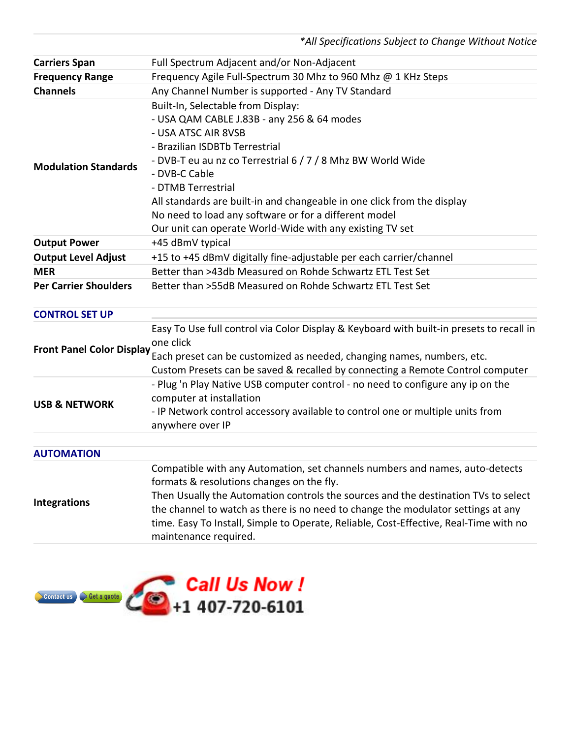*\*All Specifications Subject to Change Without Notice*

| <b>Carriers Span</b>             | Full Spectrum Adjacent and/or Non-Adjacent                                                                                                                                                                                                                                                                                                                                                                                                      |
|----------------------------------|-------------------------------------------------------------------------------------------------------------------------------------------------------------------------------------------------------------------------------------------------------------------------------------------------------------------------------------------------------------------------------------------------------------------------------------------------|
| <b>Frequency Range</b>           | Frequency Agile Full-Spectrum 30 Mhz to 960 Mhz @ 1 KHz Steps                                                                                                                                                                                                                                                                                                                                                                                   |
| <b>Channels</b>                  | Any Channel Number is supported - Any TV Standard                                                                                                                                                                                                                                                                                                                                                                                               |
| <b>Modulation Standards</b>      | Built-In, Selectable from Display:<br>- USA QAM CABLE J.83B - any 256 & 64 modes<br>- USA ATSC AIR 8VSB<br>- Brazilian ISDBTb Terrestrial<br>- DVB-T eu au nz co Terrestrial 6 / 7 / 8 Mhz BW World Wide<br>- DVB-C Cable<br>- DTMB Terrestrial<br>All standards are built-in and changeable in one click from the display<br>No need to load any software or for a different model<br>Our unit can operate World-Wide with any existing TV set |
| <b>Output Power</b>              | +45 dBmV typical                                                                                                                                                                                                                                                                                                                                                                                                                                |
| <b>Output Level Adjust</b>       | +15 to +45 dBmV digitally fine-adjustable per each carrier/channel                                                                                                                                                                                                                                                                                                                                                                              |
| <b>MER</b>                       | Better than >43db Measured on Rohde Schwartz ETL Test Set                                                                                                                                                                                                                                                                                                                                                                                       |
| <b>Per Carrier Shoulders</b>     | Better than >55dB Measured on Rohde Schwartz ETL Test Set                                                                                                                                                                                                                                                                                                                                                                                       |
| <b>CONTROL SET UP</b>            |                                                                                                                                                                                                                                                                                                                                                                                                                                                 |
| <b>Front Panel Color Display</b> | Easy To Use full control via Color Display & Keyboard with built-in presets to recall in<br>one click<br>Each preset can be customized as needed, changing names, numbers, etc.<br>Custom Presets can be saved & recalled by connecting a Remote Control computer                                                                                                                                                                               |
| <b>USB &amp; NETWORK</b>         | - Plug 'n Play Native USB computer control - no need to configure any ip on the<br>computer at installation<br>- IP Network control accessory available to control one or multiple units from<br>anywhere over IP                                                                                                                                                                                                                               |
| <b>AUTOMATION</b>                |                                                                                                                                                                                                                                                                                                                                                                                                                                                 |
| <b>Integrations</b>              | Compatible with any Automation, set channels numbers and names, auto-detects<br>formats & resolutions changes on the fly.<br>Then Usually the Automation controls the sources and the destination TVs to select<br>the channel to watch as there is no need to change the modulator settings at any<br>time. Easy To Install, Simple to Operate, Reliable, Cost-Effective, Real-Time with no<br>maintenance required.                           |